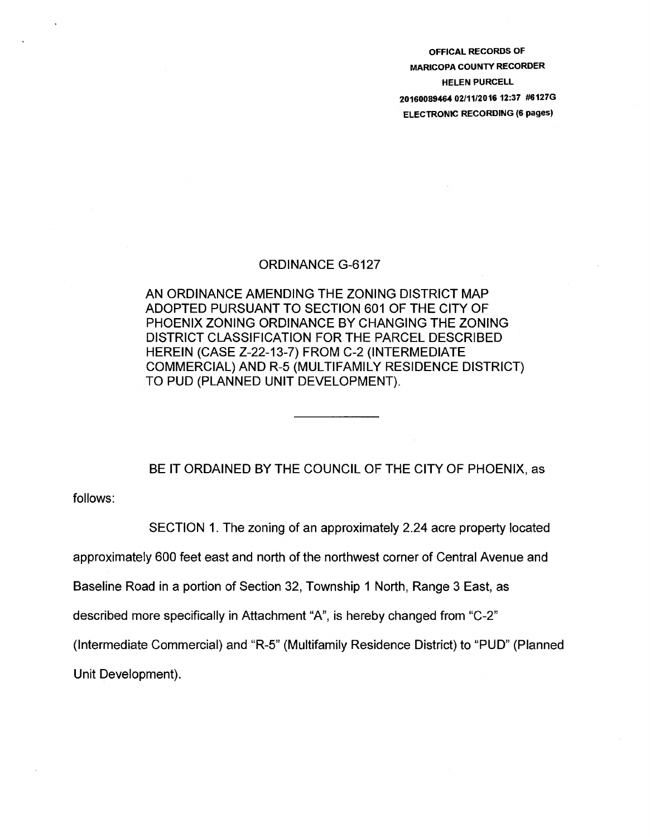OFFICAL RECORDS OF MARICOPA COUNTY RECORDER HELEN PURCELL 20160089464 02/11/2016 12:37 #6127G ELECTRONIC RECORDING (6 pages)

## ORDINANCE G-6127

AN ORDINANCE AMENDING THE ZONING DISTRICT MAP ADOPTED PURSUANT TO SECTION 601 OF THE CITY OF PHOENIX ZONING ORDINANCE BY CHANGING THE ZONING DISTRICT CLASSIFICATION FOR THE PARCEL DESCRIBED HEREIN (CASE Z-22-13-7) FROM C-2 (INTERMEDIATE COMMERCIAL) AND R-5 (MULTIFAMILY RESIDENCE DISTRICT) TO PUD (PLANNED UNIT DEVELOPMENT).

BE IT ORDAINED BY THE COUNCIL OF THE CITY OF PHOENIX, as

follows:

SECTION 1. The zoning of an approximately 2.24 acre property located

approximately 600 feet east and north of the northwest corner of Central Avenue and

Baseline Road in a portion of Section 32, Township 1 North, Range 3 East, as

described more specifically in Attachment "A", is hereby changed from "C-2"

(Intermediate Commercial) and "R-5" (Multifamily Residence District) to "PUD" (Planned

Unit Development).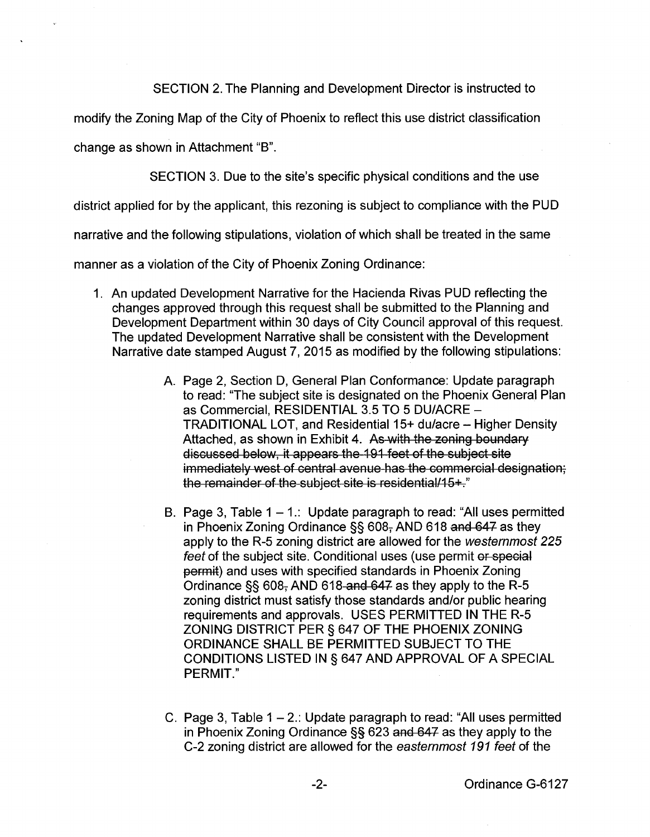SECTION 2. The Planning and Development Director is instructed to

modify the Zoning Map of the City of Phoenix to reflect this use district classification

change as shown in Attachment "B".

SECTION 3. Due to the site's specific physical conditions and the use

district applied for by the applicant, this rezoning is subject to compliance with the PUD

narrative and the following stipulations, violation of which shall be treated in the same

manner as a violation of the City of Phoenix Zoning Ordinance:

- 1. An updated Development Narrative for the Hacienda Rivas PUD reflecting the changes approved through this request shall be submitted to the Planning and Development Department within 30 days of City Council approval of this request. The updated Development Narrative shall be consistent with the Development Narrative date stamped August 7, 2015 as modified by the following stipulations:
	- A. Page 2, Section D, General Plan Conformance: Update paragraph to read: "The subject site is designated on the Phoenix General Plan as Commercial, RESIDENTIAL 3.5 TO 5 DU/ACRE -TRADITIONAL LOT, and Residential 15+ du/acre- Higher Density Attached, as shown in Exhibit 4. As with the zoning boundary discussed below, it appears the 191 feet of the subject site immediately west of central avenue has the commercial designation; the remainder of the subject site is residential/15+."
	- B. Page 3, Table  $1 1$ .: Update paragraph to read: "All uses permitted in Phoenix Zoning Ordinance  $\S$ § 608 $<sub>7</sub>$  AND 618 and 647 as they</sub> apply to the R-5 zoning district are allowed for the westernmost 225 feet of the subject site. Conditional uses (use permit or special permit) and uses with specified standards in Phoenix Zoning Ordinance §§ 608, AND 618 and 647 as they apply to the R-5 zoning district must satisfy those standards and/or public hearing requirements and approvals. USES PERMITTED IN THE R-5 ZONING DISTRICT PER§ 647 OF THE PHOENIX ZONING ORDINANCE SHALL BE PERMITTED SUBJECT TO THE CONDITIONS LISTED IN§ 647 AND APPROVAL OF A SPECIAL PERMIT."
	- C. Page 3, Table  $1 2$ .: Update paragraph to read: "All uses permitted in Phoenix Zoning Ordinance §§ 623 and 647 as they apply to the C-2 zoning district are allowed for the easternmost 191 feet of the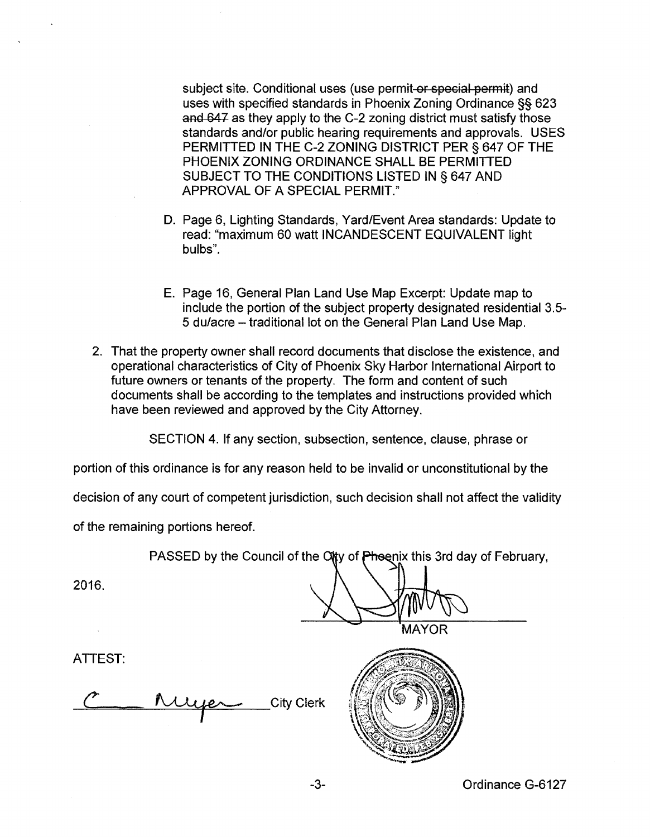subject site. Conditional uses (use permit or special permit) and uses with specified standards in Phoenix Zoning Ordinance §§ 623 and 647 as they apply to the C-2 zoning district must satisfy those standards and/or public hearing requirements and approvals. USES PERMITIED IN THE C-2 ZONING DISTRICT PER§ 647 OF THE PHOENIX ZONING ORDINANCE SHALL BE PERMITTED SUBJECT TO THE CONDITIONS LISTED IN § 647 AND APPROVAL OF A SPECIAL PERMIT."

- D. Page 6, Lighting Standards, Yard/Event Area standards: Update to read: "maximum 60 watt INCANDESCENT EQUIVALENT light bulbs".
- E. Page 16, General Plan Land Use Map Excerpt: Update map to include the portion of the subject property designated residential 3.5- 5 du/acre- traditional lot on the General Plan Land Use Map.
- 2. That the property owner shall record documents that disclose the existence, and operational characteristics of City of Phoenix Sky Harbor International Airport to future owners or tenants of the property. The form and content of such documents shall be according to the templates and instructions provided which have been reviewed and approved by the City Attorney.

SECTION 4. If any section, subsection, sentence, clause, phrase or

portion of this ordinance is for any reason held to be invalid or unconstitutional by the

decision of any court of competent jurisdiction, such decision shall not affect the validity

of the remaining portions hereof.

PASSED by the Council of the City of Phoenix this 3rd day of February,

2016.

**MAYOR** 

**ATTEST:** 

**City Clerk** 

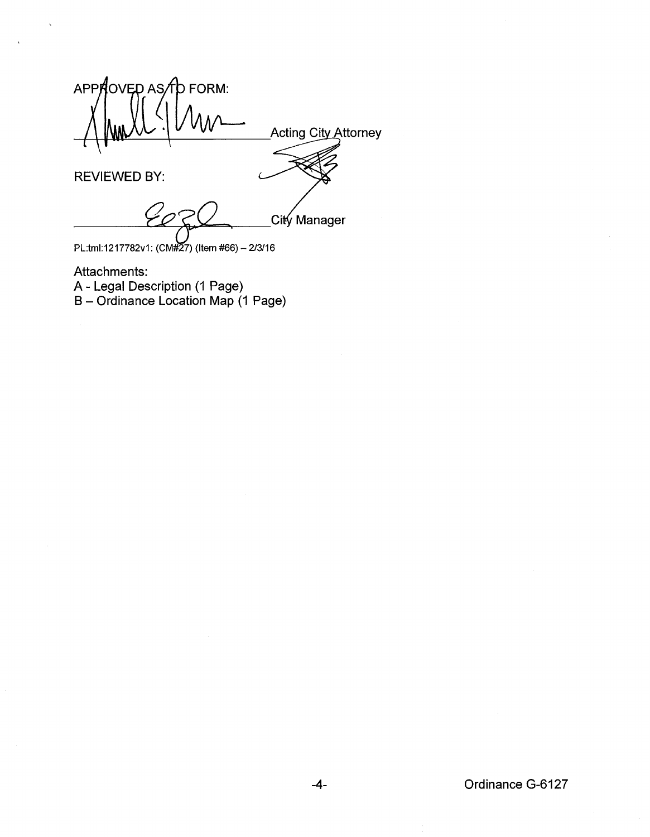APPROVED AS TO FORM: Acting City Attorney REVIEWED BY:

<sub>\_</sub>Citý Manager

PL:tml:1217782v1: (CM#27) (Item #66)- 2/3/16

Attachments: A- Legal Description (1 Page) B- Ordinance Location Map (1 Page)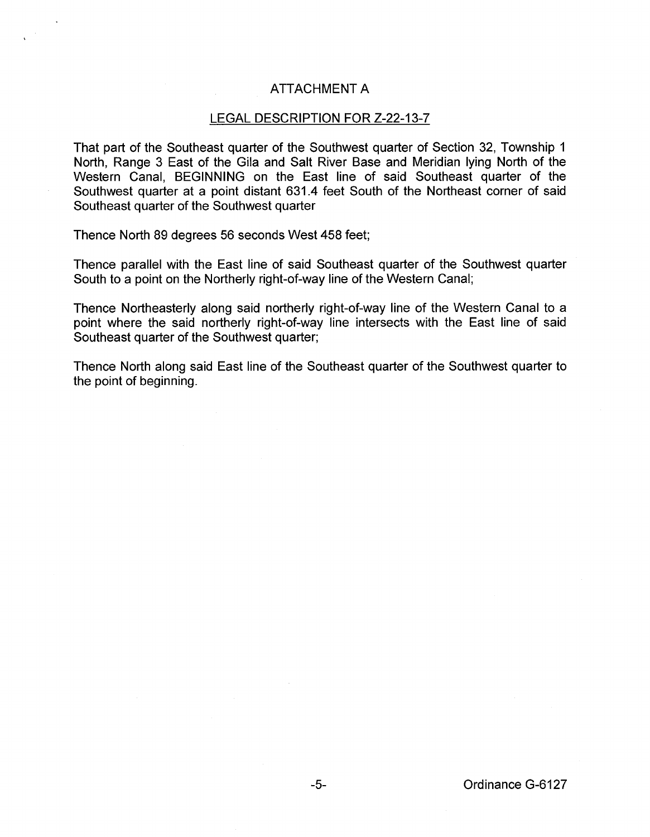## ATTACHMENT A

## LEGAL DESCRIPTION FOR Z-22-13-7

That part of the Southeast quarter of the Southwest quarter of Section 32, Township 1 North, Range 3 East of the Gila and Salt River Base and Meridian lying North of the Western Canal, BEGINNING on the East line of said Southeast quarter of the Southwest quarter at a point distant 631.4 feet South of the Northeast corner of said Southeast quarter of the Southwest quarter

Thence North 89 degrees 56 seconds West 458 feet;

Thence parallel with the East line of said Southeast quarter of the Southwest quarter South to a point on the Northerly right-of-way line of the Western Canal;

Thence Northeasterly along said northerly right-of-way line of the Western Canal to a point where the said northerly right-of-way line intersects with the East line of said Southeast quarter of the Southwest quarter;

Thence North along said East line of the Southeast quarter of the Southwest quarter to the point of beginning.